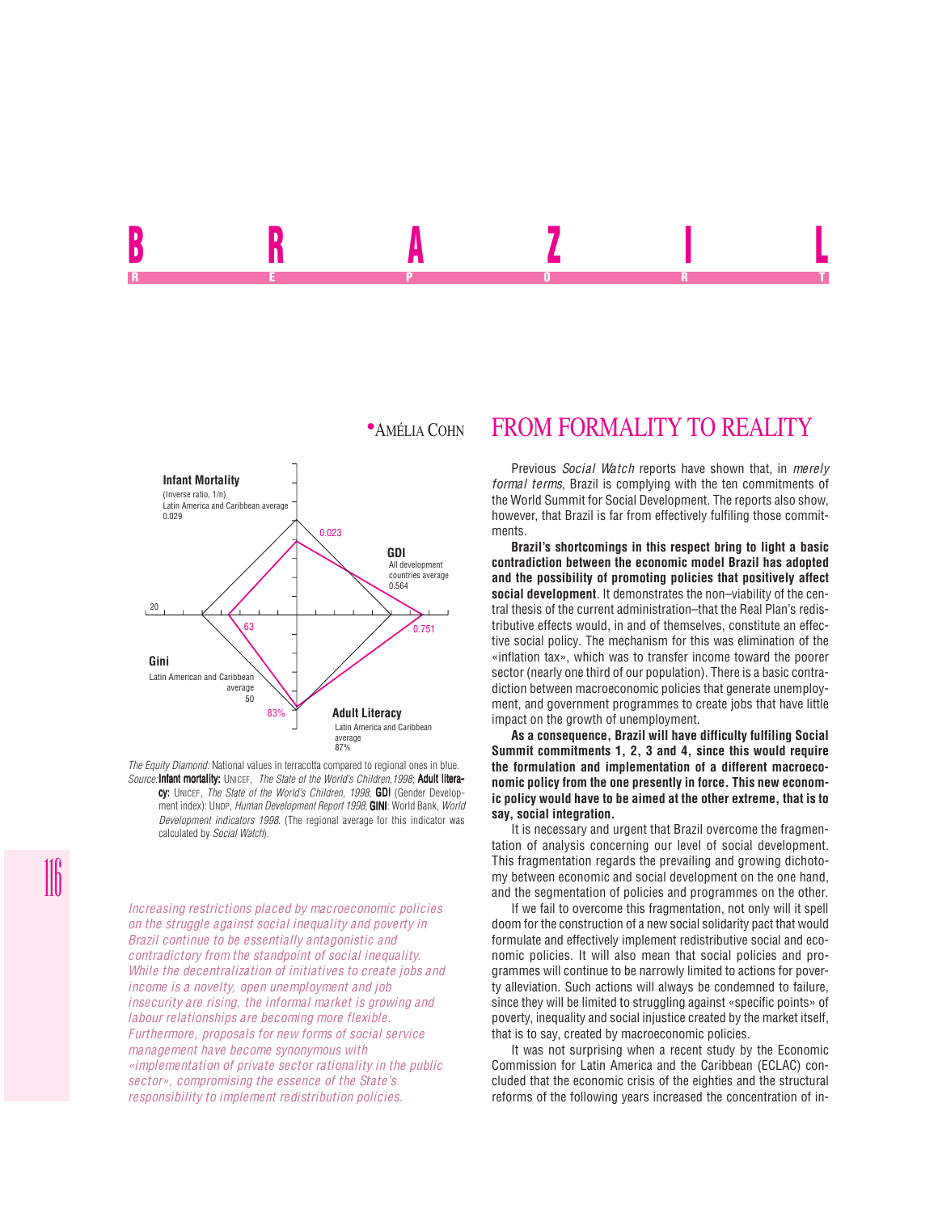

*The Equity Diamond:* National values in terracotta compared to regional ones in blue. *Source:* Infant mortality: UNICEF, *The State of the World's Children, 1998*; Adult literacy: UNICEF, *The State of the World's Children, 1998*; GDI (Gender Development index): UNDP, *Human Development Report 1998*; **GINI**: World Bank. World *Development indicators 1998*. (The regional average for this indicator was calculated by *Social Watch*).

*Increasing restrictions placed by macroeconomic policies on the struggle against social inequality and poverty in Brazil continue to be essentially antagonistic and contradictory from the standpoint of social inequality. While the decentralization of initiatives to create jobs and income is a novelty, open unemployment and job insecurity are rising, the informal market is growing and labour relationships are becoming more flexible. Furthermore, proposals for new forms of social service management have become synonymous with «implementation of private sector rationality in the public sector», compromising the essence of the State's responsibility to implement redistribution policies.*

## **\*AMÉLIA COHN FROM FORMALITY TO REALITY**

**B n A** *L* **I L** REPORT OF STATE REPORT OF STATE REPORT OF STATE REPORT OF STATE REPORT OF STATE REPORT OF STATE REPORT OF STATE REPORT OF STATE REPORT OF STATE REPORT OF STATE REPORT OF STATE REPORT OF STATE REPORT OF STATE REPORT OF STAT

> Previous *Social Watch* reports have shown that, in *merely formal terms*, Brazil is complying with the ten commitments of the World Summit for Social Development. The reports also show, however, that Brazil is far from effectively fulfiling those commitments.

> **Brazil's shortcomings in this respect bring to light a basic contradiction between the economic model Brazil has adopted and the possibility of promoting policies that positively affect social development**. It demonstrates the non–viability of the central thesis of the current administration–that the Real Plan's redistributive effects would, in and of themselves, constitute an effective social policy. The mechanism for this was elimination of the «inflation tax», which was to transfer income toward the poorer sector (nearly one third of our population). There is a basic contradiction between macroeconomic policies that generate unemployment, and government programmes to create jobs that have little impact on the growth of unemployment.

> **As a consequence, Brazil will have difficulty fulfiling Social Summit commitments 1, 2, 3 and 4, since this would require the formulation and implementation of a different macroeconomic policy from the one presently in force. This new economic policy would have to be aimed at the other extreme, that is to say, social integration.**

> It is necessary and urgent that Brazil overcome the fragmentation of analysis concerning our level of social development. This fragmentation regards the prevailing and growing dichotomy between economic and social development on the one hand, and the segmentation of policies and programmes on the other.

> If we fail to overcome this fragmentation, not only will it spell doom for the construction of a new social solidarity pact that would formulate and effectively implement redistributive social and economic policies. It will also mean that social policies and programmes will continue to be narrowly limited to actions for poverty alleviation. Such actions will always be condemned to failure, since they will be limited to struggling against «specific points» of poverty, inequality and social injustice created by the market itself, that is to say, created by macroeconomic policies.

> It was not surprising when a recent study by the Economic Commission for Latin America and the Caribbean (ECLAC) concluded that the economic crisis of the eighties and the structural reforms of the following years increased the concentration of in-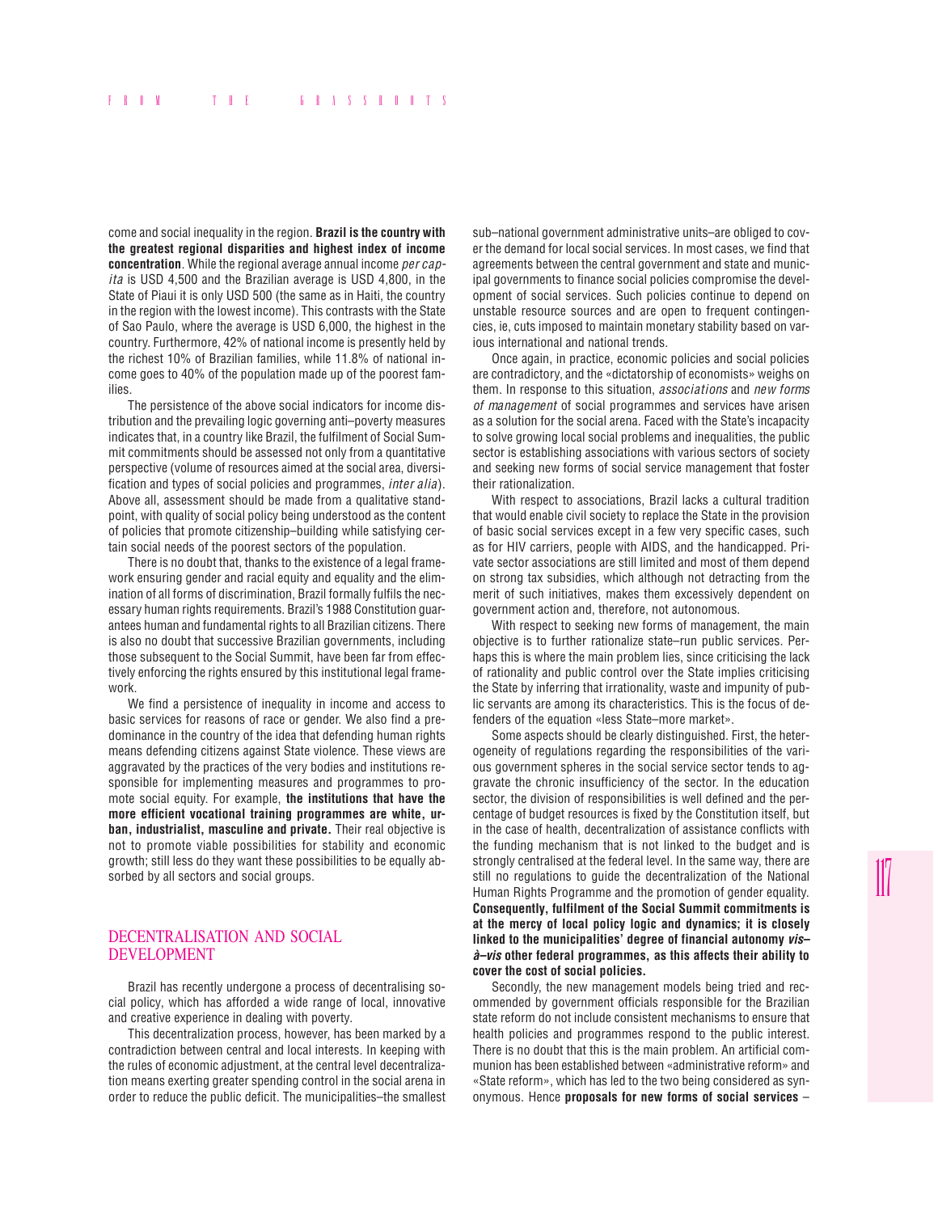come and social inequality in the region. **Brazil is the country with the greatest regional disparities and highest index of income concentration**. While the regional average annual income *per capita* is USD 4,500 and the Brazilian average is USD 4,800, in the State of Piaui it is only USD 500 (the same as in Haiti, the country in the region with the lowest income). This contrasts with the State of Sao Paulo, where the average is USD 6,000, the highest in the country. Furthermore, 42% of national income is presently held by the richest 10% of Brazilian families, while 11.8% of national income goes to 40% of the population made up of the poorest families.

The persistence of the above social indicators for income distribution and the prevailing logic governing anti–poverty measures indicates that, in a country like Brazil, the fulfilment of Social Summit commitments should be assessed not only from a quantitative perspective (volume of resources aimed at the social area, diversification and types of social policies and programmes, *inter alia*). Above all, assessment should be made from a qualitative standpoint, with quality of social policy being understood as the content of policies that promote citizenship–building while satisfying certain social needs of the poorest sectors of the population.

There is no doubt that, thanks to the existence of a legal framework ensuring gender and racial equity and equality and the elimination of all forms of discrimination, Brazil formally fulfils the necessary human rights requirements. Brazil's 1988 Constitution guarantees human and fundamental rights to all Brazilian citizens. There is also no doubt that successive Brazilian governments, including those subsequent to the Social Summit, have been far from effectively enforcing the rights ensured by this institutional legal framework.

We find a persistence of inequality in income and access to basic services for reasons of race or gender. We also find a predominance in the country of the idea that defending human rights means defending citizens against State violence. These views are aggravated by the practices of the very bodies and institutions responsible for implementing measures and programmes to promote social equity. For example, **the institutions that have the more efficient vocational training programmes are white, urban, industrialist, masculine and private.** Their real objective is not to promote viable possibilities for stability and economic growth; still less do they want these possibilities to be equally absorbed by all sectors and social groups.

## DECENTRALISATION AND SOCIAL DEVELOPMENT

Brazil has recently undergone a process of decentralising social policy, which has afforded a wide range of local, innovative and creative experience in dealing with poverty.

This decentralization process, however, has been marked by a contradiction between central and local interests. In keeping with the rules of economic adjustment, at the central level decentralization means exerting greater spending control in the social arena in order to reduce the public deficit. The municipalities–the smallest sub–national government administrative units–are obliged to cover the demand for local social services. In most cases, we find that agreements between the central government and state and municipal governments to finance social policies compromise the development of social services. Such policies continue to depend on unstable resource sources and are open to frequent contingencies, ie, cuts imposed to maintain monetary stability based on various international and national trends.

Once again, in practice, economic policies and social policies are contradictory, and the «dictatorship of economists» weighs on them. In response to this situation, *associations* and *new forms of management* of social programmes and services have arisen as a solution for the social arena. Faced with the State's incapacity to solve growing local social problems and inequalities, the public sector is establishing associations with various sectors of society and seeking new forms of social service management that foster their rationalization.

With respect to associations, Brazil lacks a cultural tradition that would enable civil society to replace the State in the provision of basic social services except in a few very specific cases, such as for HIV carriers, people with AIDS, and the handicapped. Private sector associations are still limited and most of them depend on strong tax subsidies, which although not detracting from the merit of such initiatives, makes them excessively dependent on government action and, therefore, not autonomous.

With respect to seeking new forms of management, the main objective is to further rationalize state–run public services. Perhaps this is where the main problem lies, since criticising the lack of rationality and public control over the State implies criticising the State by inferring that irrationality, waste and impunity of public servants are among its characteristics. This is the focus of defenders of the equation «less State–more market».

Some aspects should be clearly distinguished. First, the heterogeneity of regulations regarding the responsibilities of the various government spheres in the social service sector tends to aggravate the chronic insufficiency of the sector. In the education sector, the division of responsibilities is well defined and the percentage of budget resources is fixed by the Constitution itself, but in the case of health, decentralization of assistance conflicts with the funding mechanism that is not linked to the budget and is strongly centralised at the federal level. In the same way, there are still no regulations to guide the decentralization of the National Human Rights Programme and the promotion of gender equality. **Consequently, fulfilment of the Social Summit commitments is at the mercy of local policy logic and dynamics; it is closely linked to the municipalities' degree of financial autonomy vis– à–vis other federal programmes, as this affects their ability to cover the cost of social policies.**

Secondly, the new management models being tried and recommended by government officials responsible for the Brazilian state reform do not include consistent mechanisms to ensure that health policies and programmes respond to the public interest. There is no doubt that this is the main problem. An artificial communion has been established between «administrative reform» and «State reform», which has led to the two being considered as synonymous. Hence **proposals for new forms of social services** –